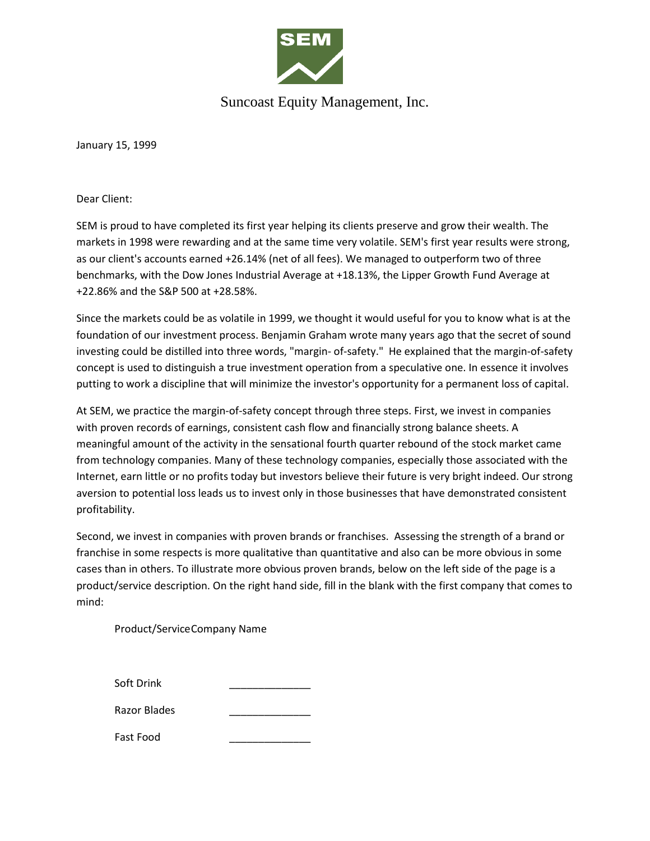

## Suncoast Equity Management, Inc.

January 15, 1999

Dear Client:

SEM is proud to have completed its first year helping its clients preserve and grow their wealth. The markets in 1998 were rewarding and at the same time very volatile. SEM's first year results were strong, as our client's accounts earned +26.14% (net of all fees). We managed to outperform two of three benchmarks, with the Dow Jones Industrial Average at +18.13%, the Lipper Growth Fund Average at +22.86% and the S&P 500 at +28.58%.

Since the markets could be as volatile in 1999, we thought it would useful for you to know what is at the foundation of our investment process. Benjamin Graham wrote many years ago that the secret of sound investing could be distilled into three words, "margin- of-safety." He explained that the margin-of-safety concept is used to distinguish a true investment operation from a speculative one. In essence it involves putting to work a discipline that will minimize the investor's opportunity for a permanent loss of capital.

At SEM, we practice the margin-of-safety concept through three steps. First, we invest in companies with proven records of earnings, consistent cash flow and financially strong balance sheets. A meaningful amount of the activity in the sensational fourth quarter rebound of the stock market came from technology companies. Many of these technology companies, especially those associated with the Internet, earn little or no profits today but investors believe their future is very bright indeed. Our strong aversion to potential loss leads us to invest only in those businesses that have demonstrated consistent profitability.

Second, we invest in companies with proven brands or franchises. Assessing the strength of a brand or franchise in some respects is more qualitative than quantitative and also can be more obvious in some cases than in others. To illustrate more obvious proven brands, below on the left side of the page is a product/service description. On the right hand side, fill in the blank with the first company that comes to mind:

Product/ServiceCompany Name

| Soft Drink   |  |
|--------------|--|
|              |  |
| Razor Blades |  |

Fast Food \_\_\_\_\_\_\_\_\_\_\_\_\_\_